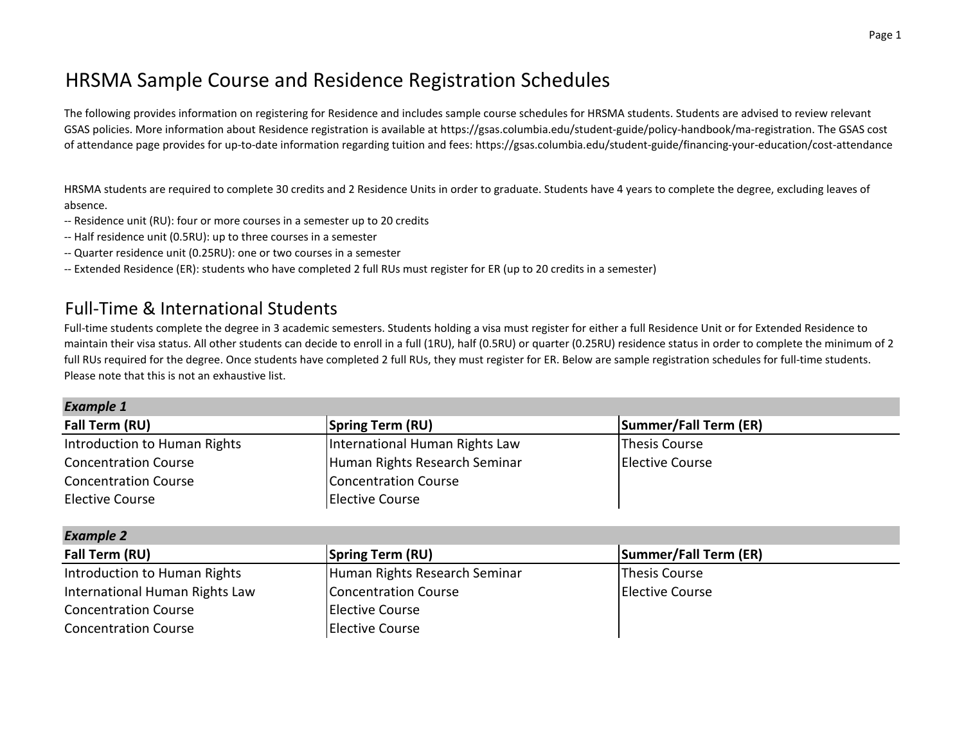## HRSMA Sample Course and Residence Registration Schedules

The following provides information on registering for Residence and includes sample course schedules for HRSMA students. Students are advised to review relevant GSAS policies. More information about Residence registration is available at https://gsas.columbia.edu/student-guide/policy-handbook/ma-registration. The GSAS cost of attendance page provides for up-to-date information regarding tuition and fees: https://gsas.columbia.edu/student-guide/financing-your-education/cost-attendance

HRSMA students are required to complete 30 credits and 2 Residence Units in order to graduate. Students have 4 years to complete the degree, excluding leaves of absence.

- -- Residence unit (RU): four or more courses in a semester up to 20 credits
- -- Half residence unit (0.5RU): up to three courses in a semester
- -- Quarter residence unit (0.25RU): one or two courses in a semester
- -- Extended Residence (ER): students who have completed 2 full RUs must register for ER (up to 20 credits in a semester)

## Full-Time & International Students

Full-time students complete the degree in 3 academic semesters. Students holding a visa must register for either a full Residence Unit or for Extended Residence to maintain their visa status. All other students can decide to enroll in a full (1RU), half (0.5RU) or quarter (0.25RU) residence status in order to complete the minimum of 2 full RUs required for the degree. Once students have completed 2 full RUs, they must register for ER. Below are sample registration schedules for full-time students. Please note that this is not an exhaustive list.

| <b>Example 1</b>             |                                |                       |  |  |
|------------------------------|--------------------------------|-----------------------|--|--|
| Fall Term (RU)               | <b>Spring Term (RU)</b>        | Summer/Fall Term (ER) |  |  |
| Introduction to Human Rights | International Human Rights Law | Thesis Course         |  |  |
| <b>Concentration Course</b>  | Human Rights Research Seminar  | Elective Course       |  |  |
| <b>Concentration Course</b>  | Concentration Course           |                       |  |  |
| <b>Elective Course</b>       | <b>Elective Course</b>         |                       |  |  |

| <b>Example 2</b>               |                               |                         |  |  |
|--------------------------------|-------------------------------|-------------------------|--|--|
| Fall Term (RU)                 | <b>Spring Term (RU)</b>       | Summer/Fall Term (ER)   |  |  |
| Introduction to Human Rights   | Human Rights Research Seminar | Thesis Course           |  |  |
| International Human Rights Law | Concentration Course          | <b>IElective Course</b> |  |  |
| <b>Concentration Course</b>    | <b>Elective Course</b>        |                         |  |  |
| <b>Concentration Course</b>    | Elective Course               |                         |  |  |